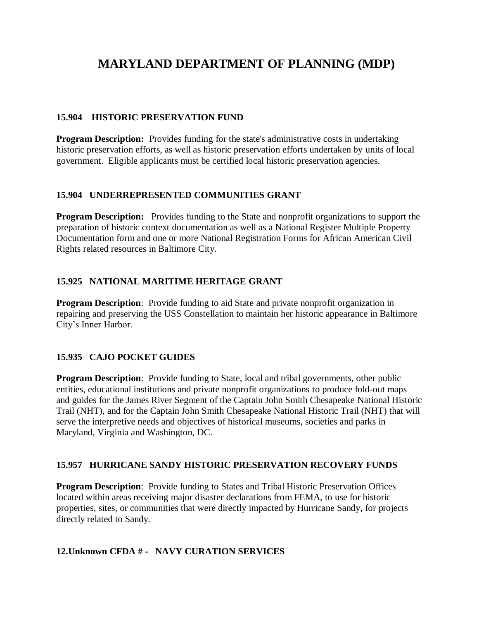# **MARYLAND DEPARTMENT OF PLANNING (MDP)**

#### **15.904 HISTORIC PRESERVATION FUND**

**Program Description:** Provides funding for the state's administrative costs in undertaking historic preservation efforts, as well as historic preservation efforts undertaken by units of local government. Eligible applicants must be certified local historic preservation agencies.

#### **15.904 UNDERREPRESENTED COMMUNITIES GRANT**

**Program Description:** Provides funding to the State and nonprofit organizations to support the preparation of historic context documentation as well as a National Register Multiple Property Documentation form and one or more National Registration Forms for African American Civil Rights related resources in Baltimore City.

#### **15.925 NATIONAL MARITIME HERITAGE GRANT**

**Program Description**: Provide funding to aid State and private nonprofit organization in repairing and preserving the USS Constellation to maintain her historic appearance in Baltimore City's Inner Harbor.

#### **15.935 CAJO POCKET GUIDES**

**Program Description:** Provide funding to State, local and tribal governments, other public entities, educational institutions and private nonprofit organizations to produce fold-out maps and guides for the James River Segment of the Captain John Smith Chesapeake National Historic Trail (NHT), and for the Captain John Smith Chesapeake National Historic Trail (NHT) that will serve the interpretive needs and objectives of historical museums, societies and parks in Maryland, Virginia and Washington, DC.

#### **15.957 HURRICANE SANDY HISTORIC PRESERVATION RECOVERY FUNDS**

**Program Description**: Provide funding to States and Tribal Historic Preservation Offices located within areas receiving major disaster declarations from FEMA, to use for historic properties, sites, or communities that were directly impacted by Hurricane Sandy, for projects directly related to Sandy.

#### **12.Unknown CFDA # - NAVY CURATION SERVICES**